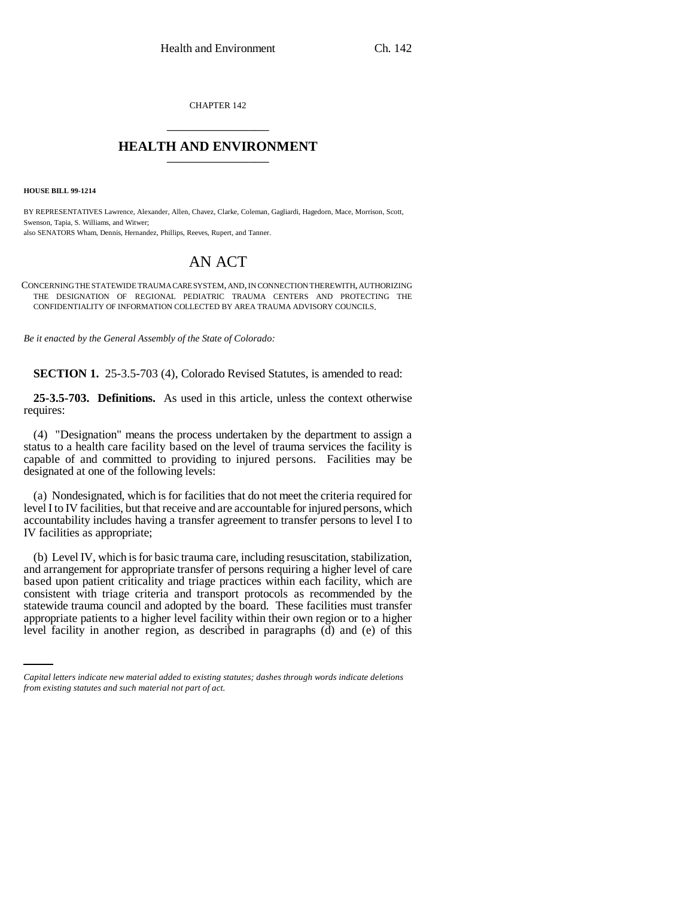CHAPTER 142 \_\_\_\_\_\_\_\_\_\_\_\_\_\_\_

## **HEALTH AND ENVIRONMENT** \_\_\_\_\_\_\_\_\_\_\_\_\_\_\_

**HOUSE BILL 99-1214**

BY REPRESENTATIVES Lawrence, Alexander, Allen, Chavez, Clarke, Coleman, Gagliardi, Hagedorn, Mace, Morrison, Scott, Swenson, Tapia, S. Williams, and Witwer; also SENATORS Wham, Dennis, Hernandez, Phillips, Reeves, Rupert, and Tanner.

## AN ACT

CONCERNING THE STATEWIDE TRAUMA CARE SYSTEM, AND, IN CONNECTION THEREWITH, AUTHORIZING THE DESIGNATION OF REGIONAL PEDIATRIC TRAUMA CENTERS AND PROTECTING THE CONFIDENTIALITY OF INFORMATION COLLECTED BY AREA TRAUMA ADVISORY COUNCILS.

*Be it enacted by the General Assembly of the State of Colorado:*

**SECTION 1.** 25-3.5-703 (4), Colorado Revised Statutes, is amended to read:

**25-3.5-703. Definitions.** As used in this article, unless the context otherwise requires:

(4) "Designation" means the process undertaken by the department to assign a status to a health care facility based on the level of trauma services the facility is capable of and committed to providing to injured persons. Facilities may be designated at one of the following levels:

(a) Nondesignated, which is for facilities that do not meet the criteria required for level I to IV facilities, but that receive and are accountable for injured persons, which accountability includes having a transfer agreement to transfer persons to level I to IV facilities as appropriate;

statewide trauma council and adopted by the board. These facilities must transfer (b) Level IV, which is for basic trauma care, including resuscitation, stabilization, and arrangement for appropriate transfer of persons requiring a higher level of care based upon patient criticality and triage practices within each facility, which are consistent with triage criteria and transport protocols as recommended by the appropriate patients to a higher level facility within their own region or to a higher level facility in another region, as described in paragraphs (d) and (e) of this

*Capital letters indicate new material added to existing statutes; dashes through words indicate deletions from existing statutes and such material not part of act.*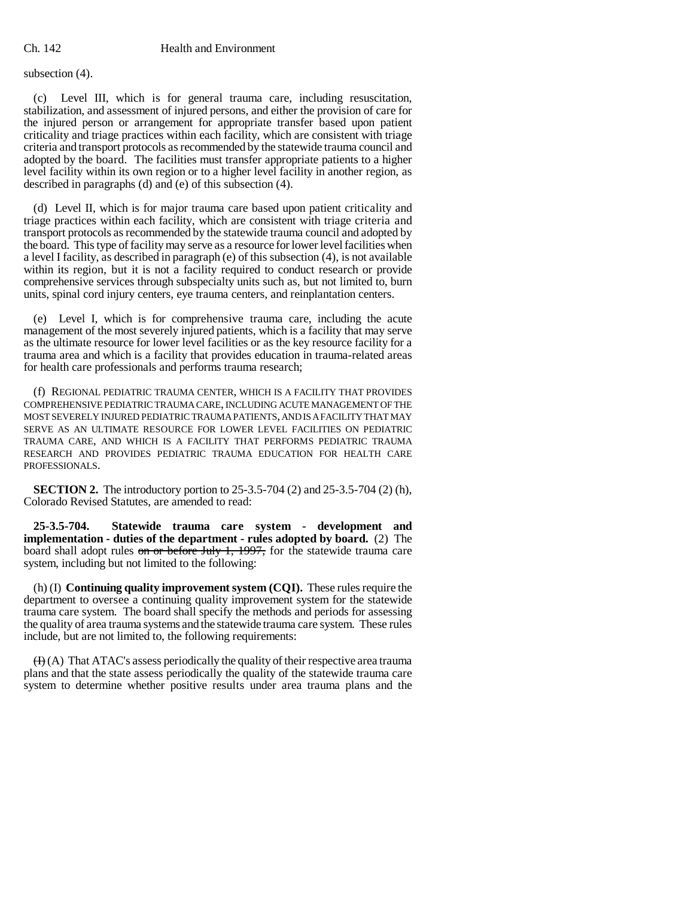subsection (4).

(c) Level III, which is for general trauma care, including resuscitation, stabilization, and assessment of injured persons, and either the provision of care for the injured person or arrangement for appropriate transfer based upon patient criticality and triage practices within each facility, which are consistent with triage criteria and transport protocols as recommended by the statewide trauma council and adopted by the board. The facilities must transfer appropriate patients to a higher level facility within its own region or to a higher level facility in another region, as described in paragraphs (d) and (e) of this subsection (4).

(d) Level II, which is for major trauma care based upon patient criticality and triage practices within each facility, which are consistent with triage criteria and transport protocols as recommended by the statewide trauma council and adopted by the board. This type of facility may serve as a resource for lower level facilities when a level I facility, as described in paragraph (e) of this subsection (4), is not available within its region, but it is not a facility required to conduct research or provide comprehensive services through subspecialty units such as, but not limited to, burn units, spinal cord injury centers, eye trauma centers, and reinplantation centers.

(e) Level I, which is for comprehensive trauma care, including the acute management of the most severely injured patients, which is a facility that may serve as the ultimate resource for lower level facilities or as the key resource facility for a trauma area and which is a facility that provides education in trauma-related areas for health care professionals and performs trauma research;

(f) REGIONAL PEDIATRIC TRAUMA CENTER, WHICH IS A FACILITY THAT PROVIDES COMPREHENSIVE PEDIATRIC TRAUMA CARE, INCLUDING ACUTE MANAGEMENT OF THE MOST SEVERELY INJURED PEDIATRIC TRAUMA PATIENTS, AND IS A FACILITY THAT MAY SERVE AS AN ULTIMATE RESOURCE FOR LOWER LEVEL FACILITIES ON PEDIATRIC TRAUMA CARE, AND WHICH IS A FACILITY THAT PERFORMS PEDIATRIC TRAUMA RESEARCH AND PROVIDES PEDIATRIC TRAUMA EDUCATION FOR HEALTH CARE PROFESSIONALS.

**SECTION 2.** The introductory portion to 25-3.5-704 (2) and 25-3.5-704 (2) (h), Colorado Revised Statutes, are amended to read:

**25-3.5-704. Statewide trauma care system - development and implementation - duties of the department - rules adopted by board.** (2) The board shall adopt rules on or before July 1, 1997, for the statewide trauma care system, including but not limited to the following:

(h) (I) **Continuing quality improvement system (CQI).** These rules require the department to oversee a continuing quality improvement system for the statewide trauma care system. The board shall specify the methods and periods for assessing the quality of area trauma systems and the statewide trauma care system. These rules include, but are not limited to, the following requirements:

 $(H)(A)$  That ATAC's assess periodically the quality of their respective area trauma plans and that the state assess periodically the quality of the statewide trauma care system to determine whether positive results under area trauma plans and the